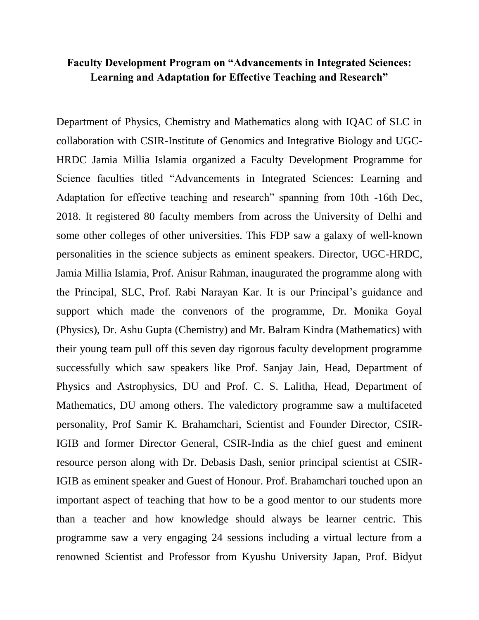# **Faculty Development Program on "Advancements in Integrated Sciences: Learning and Adaptation for Effective Teaching and Research"**

Department of Physics, Chemistry and Mathematics along with IQAC of SLC in collaboration with CSIR-Institute of Genomics and Integrative Biology and UGC-HRDC Jamia Millia Islamia organized a Faculty Development Programme for Science faculties titled "Advancements in Integrated Sciences: Learning and Adaptation for effective teaching and research" spanning from 10th -16th Dec, 2018. It registered 80 faculty members from across the University of Delhi and some other colleges of other universities. This FDP saw a galaxy of well-known personalities in the science subjects as eminent speakers. Director, UGC-HRDC, Jamia Millia Islamia, Prof. Anisur Rahman, inaugurated the programme along with the Principal, SLC, Prof. Rabi Narayan Kar. It is our Principal's guidance and support which made the convenors of the programme, Dr. Monika Goyal (Physics), Dr. Ashu Gupta (Chemistry) and Mr. Balram Kindra (Mathematics) with their young team pull off this seven day rigorous faculty development programme successfully which saw speakers like Prof. Sanjay Jain, Head, Department of Physics and Astrophysics, DU and Prof. C. S. Lalitha, Head, Department of Mathematics, DU among others. The valedictory programme saw a multifaceted personality, Prof Samir K. Brahamchari, Scientist and Founder Director, CSIR-IGIB and former Director General, CSIR-India as the chief guest and eminent resource person along with Dr. Debasis Dash, senior principal scientist at CSIR-IGIB as eminent speaker and Guest of Honour. Prof. Brahamchari touched upon an important aspect of teaching that how to be a good mentor to our students more than a teacher and how knowledge should always be learner centric. This programme saw a very engaging 24 sessions including a virtual lecture from a renowned Scientist and Professor from Kyushu University Japan, Prof. Bidyut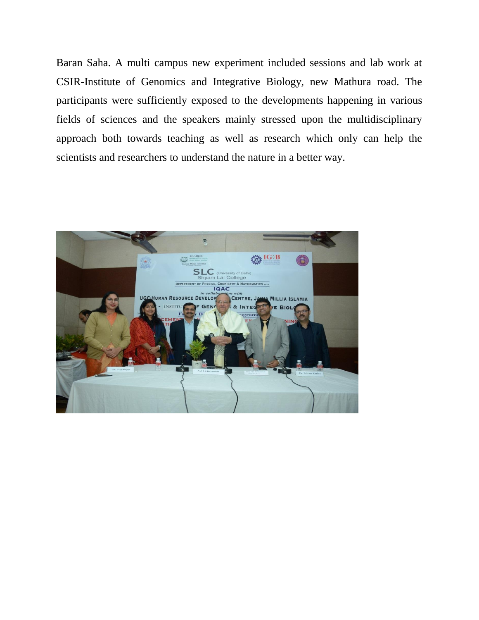Baran Saha. A multi campus new experiment included sessions and lab work at CSIR-Institute of Genomics and Integrative Biology, new Mathura road. The participants were sufficiently exposed to the developments happening in various fields of sciences and the speakers mainly stressed upon the multidisciplinary approach both towards teaching as well as research which only can help the scientists and researchers to understand the nature in a better way.

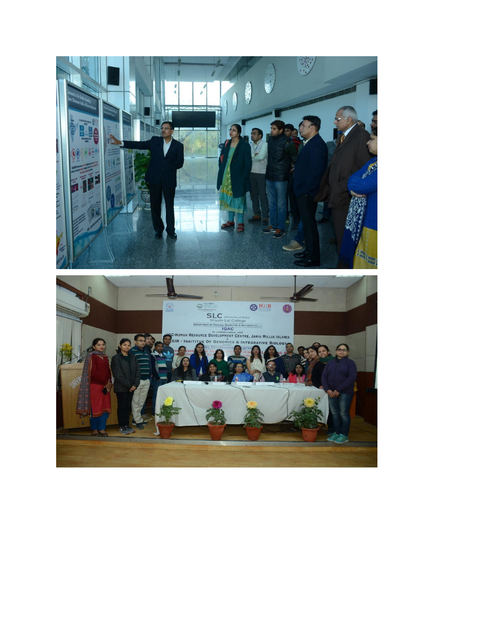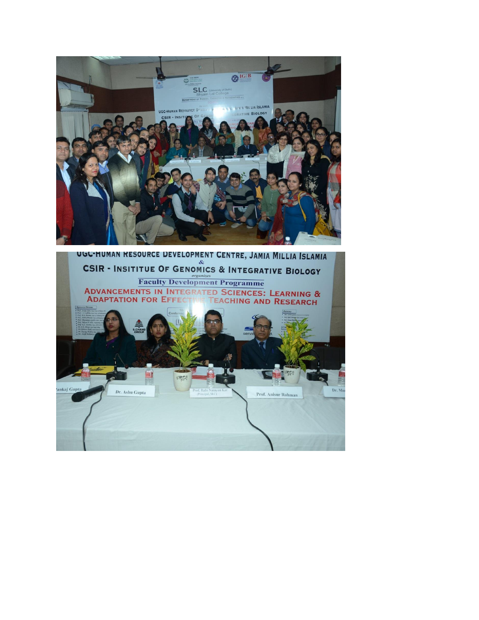

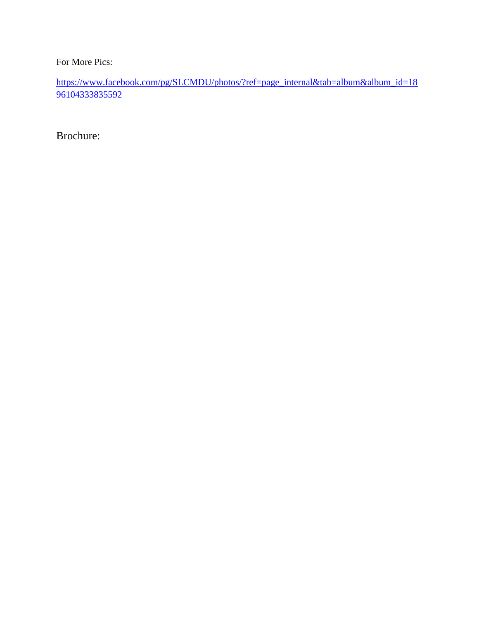For More Pics:

[https://www.facebook.com/pg/SLCMDU/photos/?ref=page\\_internal&tab=album&album\\_id=18](https://www.facebook.com/pg/SLCMDU/photos/?ref=page_internal&tab=album&album_id=1896104333835592) [96104333835592](https://www.facebook.com/pg/SLCMDU/photos/?ref=page_internal&tab=album&album_id=1896104333835592)

Brochure: